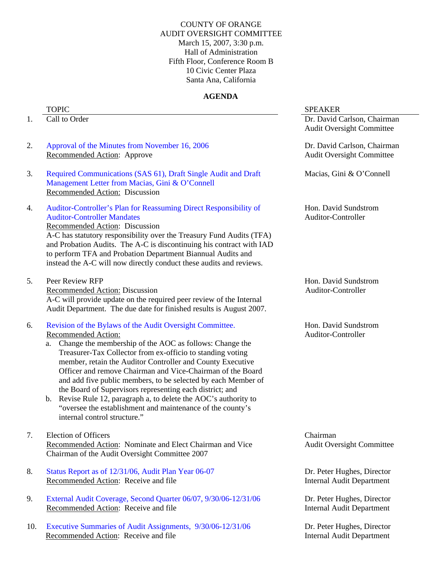## COUNTY OF ORANGE AUDIT OVERSIGHT COMMITTEE March 15, 2007, 3:30 p.m. Hall of Administration Fifth Floor, Conference Room B 10 Civic Center Plaza Santa Ana, California

# **AGENDA**

- 
- 2. Approval of the Minutes from November 16, 2006 Recommended Action: Approve
- 3. Required Communications (SAS 61), Draft Single Audit and Draft Management Letter from Macias, Gini & O'Connell Recommended Action: Discussion
- 4. Auditor-Controller's Plan for Reassuming Direct Responsibility of Auditor-Controller Mandates Recommended Action: Discussion

A-C has statutory responsibility over the Treasury Fund Audits (TFA) and Probation Audits. The A-C is discontinuing his contract with IAD to perform TFA and Probation Department Biannual Audits and instead the A-C will now directly conduct these audits and reviews.

5. Peer Review RFP

Recommended Action: Discussion A-C will provide update on the required peer review of the Internal Audit Department. The due date for finished results is August 2007.

- 6. Revision of the Bylaws of the Audit Oversight Committee. Recommended Action:
	- a. Change the membership of the AOC as follows: Change the Treasurer-Tax Collector from ex-officio to standing voting member, retain the Auditor Controller and County Executive Officer and remove Chairman and Vice-Chairman of the Board and add five public members, to be selected by each Member of the Board of Supervisors representing each district; and
	- b. Revise Rule 12, paragraph a, to delete the AOC's authority to "oversee the establishment and maintenance of the county's internal control structure."
- 7. Election of Officers Recommended Action: Nominate and Elect Chairman and Vice Chairman of the Audit Oversight Committee 2007
- 8. Status Report as of 12/31/06, Audit Plan Year 06-07 Recommended Action: Receive and file
- 9. External Audit Coverage, Second Quarter 06/07, 9/30/06-12/31/06 Recommended Action: Receive and file
- 10. Executive Summaries of Audit Assignments, 9/30/06-12/31/06 Recommended Action: Receive and file

### TOPIC SPEAKER

1. Call to Order **Dr. David Carlson, Chairman** Audit Oversight Committee

> Dr. David Carlson, Chairman Audit Oversight Committee

Macias, Gini & O'Connell

Hon. David Sundstrom Auditor-Controller

Hon. David Sundstrom Auditor-Controller

Hon. David Sundstrom Auditor-Controller

Chairman Audit Oversight Committee

Dr. Peter Hughes, Director Internal Audit Department

Dr. Peter Hughes, Director Internal Audit Department

Dr. Peter Hughes, Director Internal Audit Department